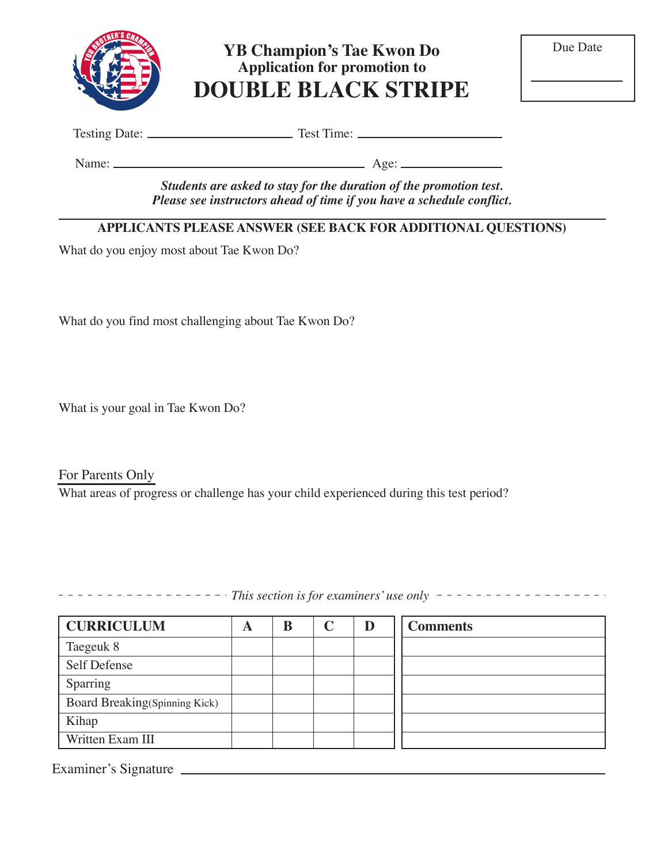

**YB Champion's Tae Kwon Do Application for promotion to DOUBLE BLACK STRIPE**

| Due Date |  |
|----------|--|
|----------|--|

Testing Date: Test Time:

Name: Age:

*Students are asked to stay for the duration of the promotion test. Please see instructors ahead of time if you have a schedule conflict.*

## **APPLICANTS PLEASE ANSWER (SEE BACK FOR ADDITIONAL QUESTIONS)**

What do you enjoy most about Tae Kwon Do?

What do you find most challenging about Tae Kwon Do?

What is your goal in Tae Kwon Do?

For Parents Only What areas of progress or challenge has your child experienced during this test period?

 $\frac{1}{1}$   $\frac{1}{1}$   $\frac{1}{1}$   $\frac{1}{1}$   $\frac{1}{1}$   $\frac{1}{1}$   $\frac{1}{1}$   $\frac{1}{1}$   $\frac{1}{1}$   $\frac{1}{1}$   $\frac{1}{1}$  is for examiners' use only  $\frac{1}{1}$   $\frac{1}{1}$   $\frac{1}{1}$   $\frac{1}{1}$   $\frac{1}{1}$   $\frac{1}{1}$   $\frac{1}{1}$   $\frac{1}{1}$   $\frac{$ 

| <b>CURRICULUM</b>             | A | B | D | <b>Comments</b> |
|-------------------------------|---|---|---|-----------------|
| Taegeuk 8                     |   |   |   |                 |
| Self Defense                  |   |   |   |                 |
| Sparring                      |   |   |   |                 |
| Board Breaking(Spinning Kick) |   |   |   |                 |
| Kihap                         |   |   |   |                 |
| Written Exam III              |   |   |   |                 |

Examiner's Signature